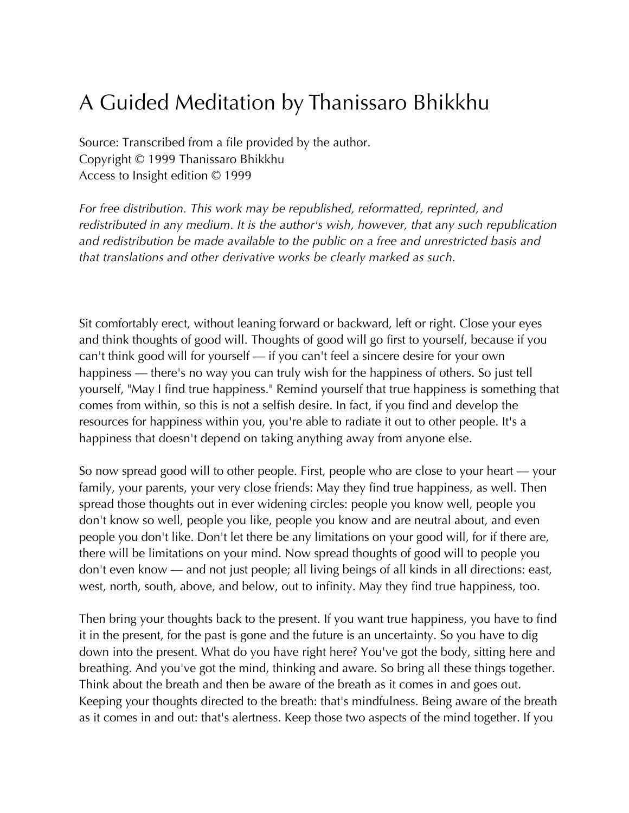## A Guided Meditation by Thanissaro Bhikkhu

Source: Transcribed from a file provided by the author. Copyright © 1999 Thanissaro Bhikkhu Access to Insight edition © 1999

*For free distribution. This work may be republished, reformatted, reprinted, and redistributed in any medium. It is the author's wish, however, that any such republication and redistribution be made available to the public on a free and unrestricted basis and that translations and other derivative works be clearly marked as such.*

Sit comfortably erect, without leaning forward or backward, left or right. Close your eyes and think thoughts of good will. Thoughts of good will go first to yourself, because if you can't think good will for yourself — if you can't feel a sincere desire for your own happiness — there's no way you can truly wish for the happiness of others. So just tell yourself, "May I find true happiness." Remind yourself that true happiness is something that comes from within, so this is not a selfish desire. In fact, if you find and develop the resources for happiness within you, you're able to radiate it out to other people. It's a happiness that doesn't depend on taking anything away from anyone else.

So now spread good will to other people. First, people who are close to your heart — your family, your parents, your very close friends: May they find true happiness, as well. Then spread those thoughts out in ever widening circles: people you know well, people you don't know so well, people you like, people you know and are neutral about, and even people you don't like. Don't let there be any limitations on your good will, for if there are, there will be limitations on your mind. Now spread thoughts of good will to people you don't even know — and not just people; all living beings of all kinds in all directions: east, west, north, south, above, and below, out to infinity. May they find true happiness, too.

Then bring your thoughts back to the present. If you want true happiness, you have to find it in the present, for the past is gone and the future is an uncertainty. So you have to dig down into the present. What do you have right here? You've got the body, sitting here and breathing. And you've got the mind, thinking and aware. So bring all these things together. Think about the breath and then be aware of the breath as it comes in and goes out. Keeping your thoughts directed to the breath: that's mindfulness. Being aware of the breath as it comes in and out: that's alertness. Keep those two aspects of the mind together. If you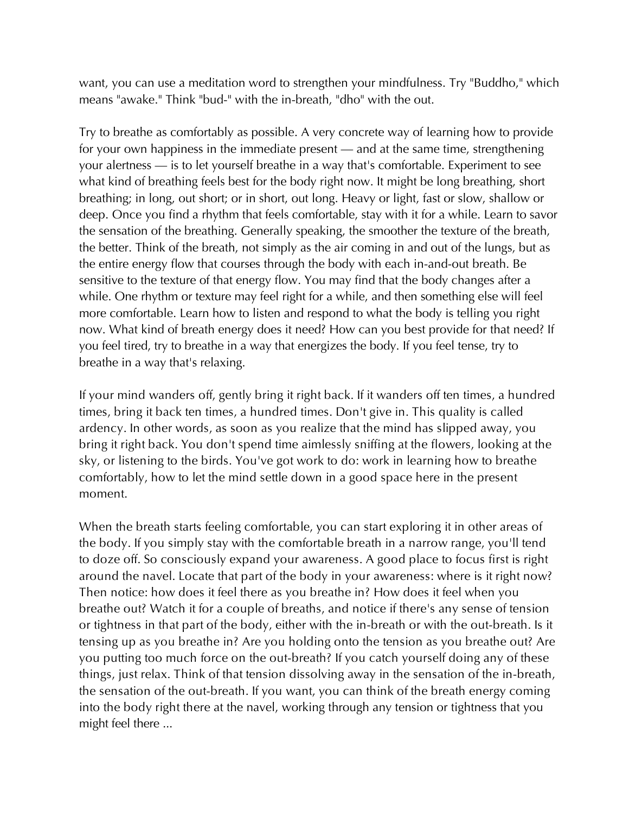want, you can use a meditation word to strengthen your mindfulness. Try "Buddho," which means "awake." Think "bud-" with the in-breath, "dho" with the out.

Try to breathe as comfortably as possible. A very concrete way of learning how to provide for your own happiness in the immediate present — and at the same time, strengthening your alertness — is to let yourself breathe in a way that's comfortable. Experiment to see what kind of breathing feels best for the body right now. It might be long breathing, short breathing; in long, out short; or in short, out long. Heavy or light, fast or slow, shallow or deep. Once you find a rhythm that feels comfortable, stay with it for a while. Learn to savor the sensation of the breathing. Generally speaking, the smoother the texture of the breath, the better. Think of the breath, not simply as the air coming in and out of the lungs, but as the entire energy flow that courses through the body with each in-and-out breath. Be sensitive to the texture of that energy flow. You may find that the body changes after a while. One rhythm or texture may feel right for a while, and then something else will feel more comfortable. Learn how to listen and respond to what the body is telling you right now. What kind of breath energy does it need? How can you best provide for that need? If you feel tired, try to breathe in a way that energizes the body. If you feel tense, try to breathe in a way that's relaxing.

If your mind wanders off, gently bring it right back. If it wanders off ten times, a hundred times, bring it back ten times, a hundred times. Don't give in. This quality is called ardency. In other words, as soon as you realize that the mind has slipped away, you bring it right back. You don't spend time aimlessly sniffing at the flowers, looking at the sky, or listening to the birds. You've got work to do: work in learning how to breathe comfortably, how to let the mind settle down in a good space here in the present moment.

When the breath starts feeling comfortable, you can start exploring it in other areas of the body. If you simply stay with the comfortable breath in a narrow range, you'll tend to doze off. So consciously expand your awareness. A good place to focus first is right around the navel. Locate that part of the body in your awareness: where is it right now? Then notice: how does it feel there as you breathe in? How does it feel when you breathe out? Watch it for a couple of breaths, and notice if there's any sense of tension or tightness in that part of the body, either with the in-breath or with the out-breath. Is it tensing up as you breathe in? Are you holding onto the tension as you breathe out? Are you putting too much force on the out-breath? If you catch yourself doing any of these things, just relax. Think of that tension dissolving away in the sensation of the in-breath, the sensation of the out-breath. If you want, you can think of the breath energy coming into the body right there at the navel, working through any tension or tightness that you might feel there ...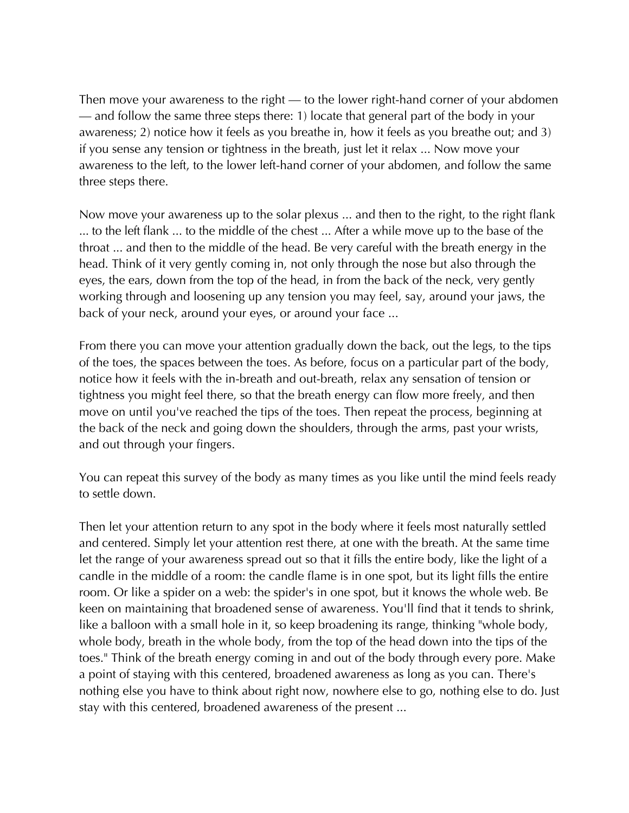Then move your awareness to the right — to the lower right-hand corner of your abdomen — and follow the same three steps there: 1) locate that general part of the body in your awareness; 2) notice how it feels as you breathe in, how it feels as you breathe out; and 3) if you sense any tension or tightness in the breath, just let it relax ... Now move your awareness to the left, to the lower left-hand corner of your abdomen, and follow the same three steps there.

Now move your awareness up to the solar plexus ... and then to the right, to the right flank ... to the left flank ... to the middle of the chest ... After a while move up to the base of the throat ... and then to the middle of the head. Be very careful with the breath energy in the head. Think of it very gently coming in, not only through the nose but also through the eyes, the ears, down from the top of the head, in from the back of the neck, very gently working through and loosening up any tension you may feel, say, around your jaws, the back of your neck, around your eyes, or around your face ...

From there you can move your attention gradually down the back, out the legs, to the tips of the toes, the spaces between the toes. As before, focus on a particular part of the body, notice how it feels with the in-breath and out-breath, relax any sensation of tension or tightness you might feel there, so that the breath energy can flow more freely, and then move on until you've reached the tips of the toes. Then repeat the process, beginning at the back of the neck and going down the shoulders, through the arms, past your wrists, and out through your fingers.

You can repeat this survey of the body as many times as you like until the mind feels ready to settle down.

Then let your attention return to any spot in the body where it feels most naturally settled and centered. Simply let your attention rest there, at one with the breath. At the same time let the range of your awareness spread out so that it fills the entire body, like the light of a candle in the middle of a room: the candle flame is in one spot, but its light fills the entire room. Or like a spider on a web: the spider's in one spot, but it knows the whole web. Be keen on maintaining that broadened sense of awareness. You'll find that it tends to shrink, like a balloon with a small hole in it, so keep broadening its range, thinking "whole body, whole body, breath in the whole body, from the top of the head down into the tips of the toes." Think of the breath energy coming in and out of the body through every pore. Make a point of staying with this centered, broadened awareness as long as you can. There's nothing else you have to think about right now, nowhere else to go, nothing else to do. Just stay with this centered, broadened awareness of the present ...